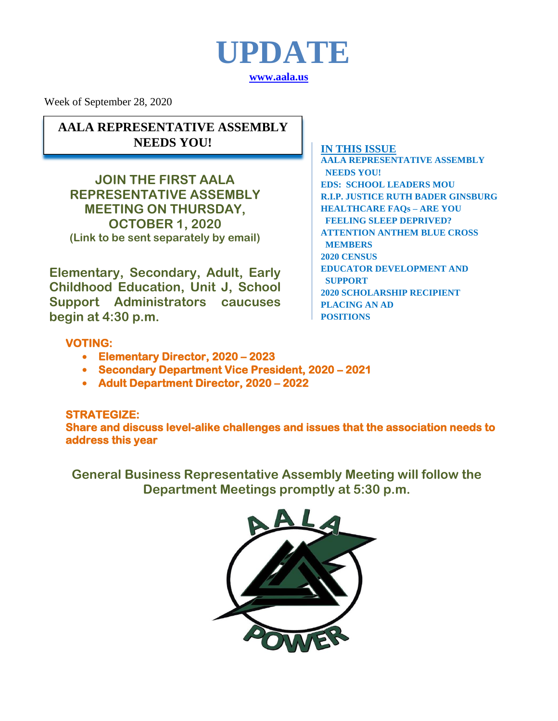

Week of September 28, 2020

**AALA REPRESENTATIVE ASSEMBLY NEEDS YOU!**

**JOIN THE FIRST AALA REPRESENTATIVE ASSEMBLY MEETING ON THURSDAY, OCTOBER 1, 2020 (Link to be sent separately by email)**

**Elementary, Secondary, Adult, Early Childhood Education, Unit J, School Support Administrators caucuses begin at 4:30 p.m.** 

#### **IN THIS ISSUE**

**AALA REPRESENTATIVE ASSEMBLY NEEDS YOU! EDS: SCHOOL LEADERS MOU R.I.P. JUSTICE RUTH BADER GINSBURG HEALTHCARE FAQs – ARE YOU FEELING SLEEP DEPRIVED? ATTENTION ANTHEM BLUE CROSS MEMBERS 2020 CENSUS EDUCATOR DEVELOPMENT AND SUPPORT 2020 SCHOLARSHIP RECIPIENT PLACING AN AD POSITIONS**

### **VOTING:**

- **Elementary Director, 2020 – 2023**
- **Secondary Department Vice President, 2020 – 2021**
- **Adult Department Director, 2020 – 2022**

#### **STRATEGIZE:**

**Share and discuss level-alike challenges and issues that the association needs to address this year** 

**General Business Representative Assembly Meeting will follow the Department Meetings promptly at 5:30 p.m.**

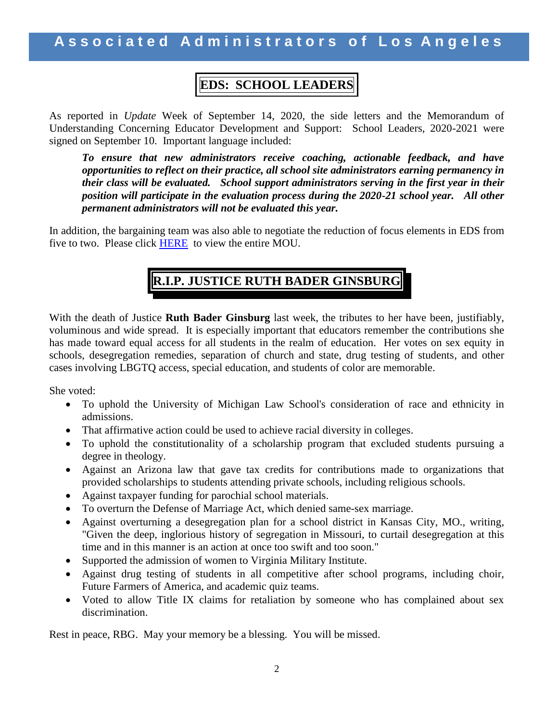## **EDS: SCHOOL LEADERS**

As reported in *Update* Week of September 14, 2020, the side letters and the Memorandum of Understanding Concerning Educator Development and Support: School Leaders, 2020-2021 were signed on September 10. Important language included:

*To ensure that new administrators receive coaching, actionable feedback, and have opportunities to reflect on their practice, all school site administrators earning permanency in their class will be evaluated. School support administrators serving in the first year in their position will participate in the evaluation process during the 2020-21 school year. All other permanent administrators will not be evaluated this year.* 

In addition, the bargaining team was also able to negotiate the reduction of focus elements in EDS from five to two. Please click [HERE](http://www.aala.us/docs/2020/09/LAUSD-AALA-MOU-Concerning-Educator-Development-and-Support-School-Leaders-2020-201-09.09.2020.pdf) to view the entire MOU.

# **R.I.P. JUSTICE RUTH BADER GINSBURG**

With the death of Justice **Ruth Bader Ginsburg** last week, the tributes to her have been, justifiably, voluminous and wide spread. It is especially important that educators remember the contributions she has made toward equal access for all students in the realm of education. Her votes on sex equity in schools, desegregation remedies, separation of church and state, drug testing of students, and other cases involving LBGTQ access, special education, and students of color are memorable.

She voted:

- To uphold the University of Michigan Law School's consideration of race and ethnicity in admissions.
- That affirmative action could be used to achieve racial diversity in colleges.
- To uphold the constitutionality of a scholarship program that excluded students pursuing a degree in theology.
- Against an Arizona law that gave tax credits for contributions made to organizations that provided scholarships to students attending private schools, including religious schools.
- Against taxpayer funding for parochial school materials.
- To overturn the Defense of Marriage Act, which denied same-sex marriage.
- Against overturning a desegregation plan for a school district in Kansas City, MO., writing, "Given the deep, inglorious history of segregation in Missouri, to curtail desegregation at this time and in this manner is an action at once too swift and too soon."
- Supported the admission of women to Virginia Military Institute.
- Against drug testing of students in all competitive after school programs, including choir, Future Farmers of America, and academic quiz teams.
- Voted to allow Title IX claims for retaliation by someone who has complained about sex discrimination.

Rest in peace, RBG. May your memory be a blessing. You will be missed.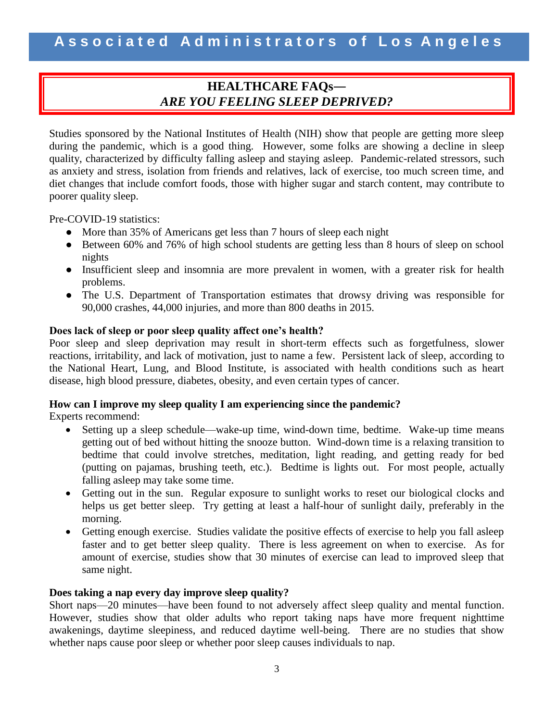### **HEALTHCARE FAQs―** *ARE YOU FEELING SLEEP DEPRIVED?*

Studies sponsored by the National Institutes of Health (NIH) show that people are getting more sleep during the pandemic, which is a good thing. However, some folks are showing a decline in sleep quality, characterized by difficulty falling asleep and staying asleep. Pandemic-related stressors, such as anxiety and stress, isolation from friends and relatives, lack of exercise, too much screen time, and diet changes that include comfort foods, those with higher sugar and starch content, may contribute to poorer quality sleep.

Pre-COVID-19 statistics:

- More than 35% of Americans get less than 7 hours of sleep each night
- Between 60% and 76% of high school students are getting less than 8 hours of sleep on school nights
- Insufficient sleep and insomnia are more prevalent in women, with a greater risk for health problems.
- The U.S. Department of Transportation estimates that drowsy driving was responsible for 90,000 crashes, 44,000 injuries, and more than 800 deaths in 2015.

#### **Does lack of sleep or poor sleep quality affect one's health?**

Poor sleep and sleep deprivation may result in short-term effects such as forgetfulness, slower reactions, irritability, and lack of motivation, just to name a few. Persistent lack of sleep, according to the National Heart, Lung, and Blood Institute, is associated with health conditions such as heart disease, high blood pressure, diabetes, obesity, and even certain types of cancer.

#### **How can I improve my sleep quality I am experiencing since the pandemic?**

Experts recommend:

- Setting up a sleep schedule—wake-up time, wind-down time, bedtime. Wake-up time means getting out of bed without hitting the snooze button. Wind-down time is a relaxing transition to bedtime that could involve stretches, meditation, light reading, and getting ready for bed (putting on pajamas, brushing teeth, etc.). Bedtime is lights out. For most people, actually falling asleep may take some time.
- Getting out in the sun. Regular exposure to sunlight works to reset our biological clocks and helps us get better sleep. Try getting at least a half-hour of sunlight daily, preferably in the morning.
- Getting enough exercise. Studies validate the positive effects of exercise to help you fall asleep faster and to get better sleep quality. There is less agreement on when to exercise. As for amount of exercise, studies show that 30 minutes of exercise can lead to improved sleep that same night.

#### **Does taking a nap every day improve sleep quality?**

Short naps—20 minutes—have been found to not adversely affect sleep quality and mental function. However, studies show that older adults who report taking naps have more frequent nighttime awakenings, daytime sleepiness, and reduced daytime well-being. There are no studies that show whether naps cause poor sleep or whether poor sleep causes individuals to nap.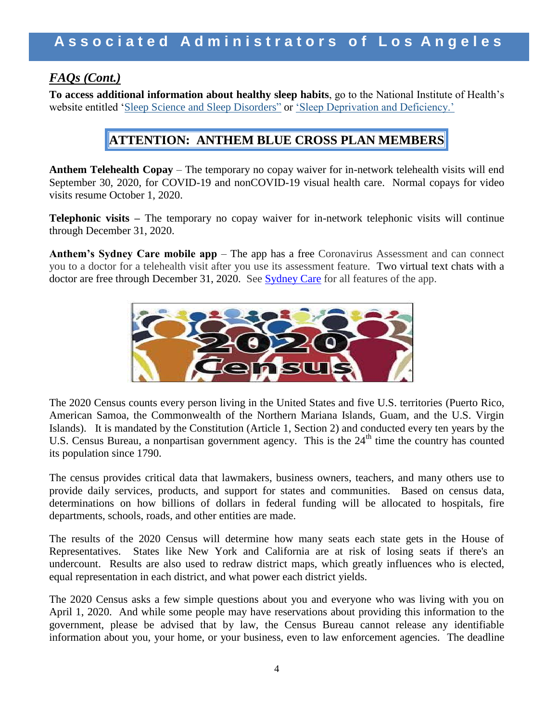### *FAQs (Cont.)*

**To access additional information about healthy sleep habits**, go to the National Institute of Health's website entitled ['Sleep Science and Sleep Disorders"](https://www.nhlbi.nih.gov/science/sleep-science-and-sleep-disorders) or ['Sleep Deprivation and Deficiency.'](https://www.nhlbi.nih.gov/health-topics/sleep-deprivation-and-deficiency)

### **ATTENTION: ANTHEM BLUE CROSS PLAN MEMBERS**

**Anthem Telehealth Copay** – The temporary no copay waiver for in-network telehealth visits will end September 30, 2020, for COVID-19 and nonCOVID-19 visual health care. Normal copays for video visits resume October 1, 2020.

**Telephonic visits –** The temporary no copay waiver for in-network telephonic visits will continue through December 31, 2020.

Anthem's Sydney Care mobile app – The app has a free Coronavirus Assessment and can connect you to a doctor for a telehealth visit after you use its assessment feature. Two virtual text chats with a doctor are free through December 31, 2020. See [Sydney Care](https://www.anthem.com/blog/your-health-care/sydneyapp/) for all features of the app.



The 2020 Census counts every person living in the United States and five U.S. territories (Puerto Rico, American Samoa, the Commonwealth of the Northern Mariana Islands, Guam, and the U.S. Virgin Islands). It is mandated by the Constitution (Article 1, Section 2) and conducted every ten years by the U.S. Census Bureau, a nonpartisan government agency. This is the 24<sup>th</sup> time the country has counted its population since 1790.

The census provides critical data that lawmakers, business owners, teachers, and many others use to provide daily services, products, and support for states and communities. Based on census data, determinations on how billions of dollars in federal funding will be allocated to hospitals, fire departments, schools, roads, and other entities are made.

The results of the 2020 Census will determine how many seats each state gets in the House of Representatives. States like New York and California are at risk of losing seats if there's an undercount. Results are also used to redraw district maps, which greatly influences who is elected, equal representation in each district, and what power each district yields.

The 2020 Census asks a few simple questions about you and everyone who was living with you on April 1, 2020. And while some people may have reservations about providing this information to the government, please be advised that by law, the Census Bureau cannot release any identifiable information about you, your home, or your business, even to law enforcement agencies. The deadline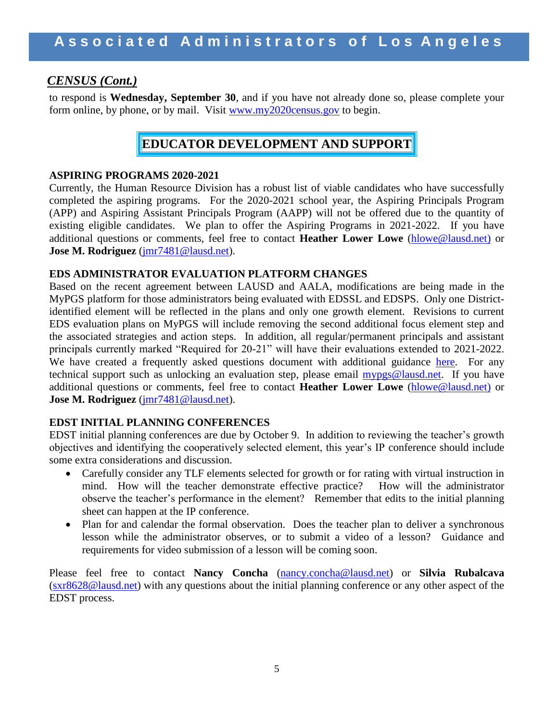### *CENSUS (Cont.)*

to respond is **Wednesday, September 30**, and if you have not already done so, please complete your form online, by phone, or by mail. Visit [www.my2020census.gov](http://www.my2020census.gov/) to begin.

### **EDUCATOR DEVELOPMENT AND SUPPORT**

#### **ASPIRING PROGRAMS 2020-2021**

Currently, the Human Resource Division has a robust list of viable candidates who have successfully completed the aspiring programs.For the 2020-2021 school year, the Aspiring Principals Program (APP) and Aspiring Assistant Principals Program (AAPP) will not be offered due to the quantity of existing eligible candidates.We plan to offer the Aspiring Programs in 2021-2022.If you have additional questions or comments, feel free to contact **Heather Lower Lowe** [\(hlowe@lausd.net\)](mailto:hlowe@lausd.net)) or **Jose M. Rodriguez** [\(jmr7481@lausd.net\)](mailto:jmr7481@lausd.net).

#### **EDS ADMINISTRATOR EVALUATION PLATFORM CHANGES**

Based on the recent agreement between LAUSD and AALA, modifications are being made in the MyPGS platform for those administrators being evaluated with EDSSL and EDSPS. Only one Districtidentified element will be reflected in the plans and only one growth element. Revisions to current EDS evaluation plans on MyPGS will include removing the second additional focus element step and the associated strategies and action steps. In addition, all regular/permanent principals and assistant principals currently marked "Required for 20-21" will have their evaluations extended to 2021-2022. We have created a frequently asked questions document with additional guidance [here.](https://achieve.lausd.net/cms/lib/CA01000043/Centricity/Domain/434/AALA%20Negotiation%20Frequently%20Asked%20Questions.pdf) For any technical support such as unlocking an evaluation step, please email [mypgs@lausd.net.](mailto:mypgs@lausd.net) If you have additional questions or comments, feel free to contact **Heather Lower Lowe** [\(hlowe@lausd.net\)](mailto:hlowe@lausd.net)) or **Jose M. Rodriguez** [\(jmr7481@lausd.net\)](mailto:jmr7481@lausd.net).

#### **EDST INITIAL PLANNING CONFERENCES**

EDST initial planning conferences are due by October 9. In addition to reviewing the teacher's growth objectives and identifying the cooperatively selected element, this year's IP conference should include some extra considerations and discussion.

- Carefully consider any TLF elements selected for growth or for rating with virtual instruction in mind. How will the teacher demonstrate effective practice? How will the administrator observe the teacher's performance in the element? Remember that edits to the initial planning sheet can happen at the IP conference.
- Plan for and calendar the formal observation. Does the teacher plan to deliver a synchronous lesson while the administrator observes, or to submit a video of a lesson? Guidance and requirements for video submission of a lesson will be coming soon.

Please feel free to contact **Nancy Concha** [\(nancy.concha@lausd.net\)](mailto:nancy.concha@lausd.net) or **Silvia Rubalcava** [\(sxr8628@lausd.net\)](mailto:sxr8628@lausd.net) with any questions about the initial planning conference or any other aspect of the EDST process.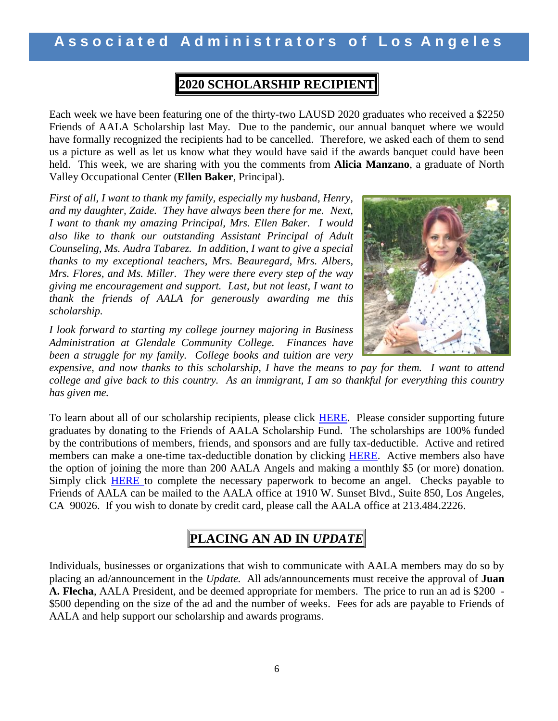# **A s s o c i a t e d A d m i n i s t r a t o r s o f L o s A n g e l e s**

# **2020 SCHOLARSHIP RECIPIENT**

Each week we have been featuring one of the thirty-two LAUSD 2020 graduates who received a \$2250 Friends of AALA Scholarship last May. Due to the pandemic, our annual banquet where we would have formally recognized the recipients had to be cancelled. Therefore, we asked each of them to send us a picture as well as let us know what they would have said if the awards banquet could have been held. This week, we are sharing with you the comments from **Alicia Manzano**, a graduate of North Valley Occupational Center (**Ellen Baker**, Principal).

*First of all, I want to thank my family, especially my husband, Henry, and my daughter, Zaide. They have always been there for me. Next, I want to thank my amazing Principal, Mrs. Ellen Baker. I would also like to thank our outstanding Assistant Principal of Adult Counseling, Ms. Audra Tabarez. In addition, I want to give a special thanks to my exceptional teachers, Mrs. Beauregard, Mrs. Albers, Mrs. Flores, and Ms. Miller. They were there every step of the way giving me encouragement and support. Last, but not least, I want to thank the friends of AALA for generously awarding me this scholarship.*

*I look forward to starting my college journey majoring in Business Administration at Glendale Community College. Finances have been a struggle for my family. College books and tuition are very* 



*expensive, and now thanks to this scholarship, I have the means to pay for them. I want to attend college and give back to this country. As an immigrant, I am so thankful for everything this country has given me.*

To learn about all of our scholarship recipients, please click [HERE.](http://www.aala.us/docs/2020/06/Program-2020-Scholalrship-Students.pdf) Please consider supporting future graduates by donating to the Friends of AALA Scholarship Fund. The scholarships are 100% funded by the contributions of members, friends, and sponsors and are fully tax-deductible. Active and retired members can make a one-time tax-deductible donation by clicking [HERE.](http://www.aala.us/friends-of-aala-fund-raising-letter/) Active members also have the option of joining the more than 200 AALA Angels and making a monthly \$5 (or more) donation. Simply click [HERE](http://www.aala.us/docs/2017/11/AALA-Angels-fillable-form.rev_.pdf) to complete the necessary paperwork to become an angel. Checks payable to Friends of AALA can be mailed to the AALA office at 1910 W. Sunset Blvd., Suite 850, Los Angeles, CA 90026. If you wish to donate by credit card, please call the AALA office at 213.484.2226.

## **PLACING AN AD IN** *UPDATE*

Individuals, businesses or organizations that wish to communicate with AALA members may do so by placing an ad/announcement in the *Update.* All ads/announcements must receive the approval of **Juan A. Flecha**, AALA President, and be deemed appropriate for members. The price to run an ad is \$200 - \$500 depending on the size of the ad and the number of weeks. Fees for ads are payable to Friends of AALA and help support our scholarship and awards programs.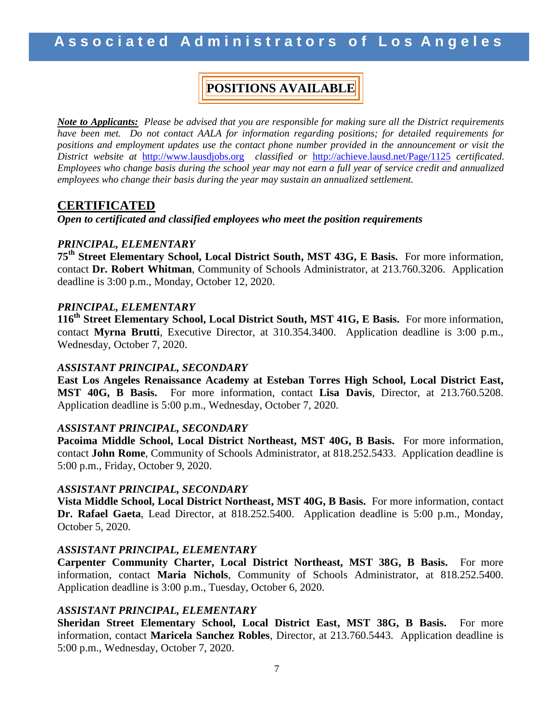# **POSITIONS AVAILABLE**

*Note to Applicants: Please be advised that you are responsible for making sure all the District requirements have been met. Do not contact AALA for information regarding positions; for detailed requirements for positions and employment updates use the contact phone number provided in the announcement or visit the District website at* [http://www.lausdjobs.org](http://www.lausdjobs.org/) *classified or* <http://achieve.lausd.net/Page/1125> *certificated. Employees who change basis during the school year may not earn a full year of service credit and annualized employees who change their basis during the year may sustain an annualized settlement.* 

### **CERTIFICATED**

*Open to certificated and classified employees who meet the position requirements*

#### *PRINCIPAL, ELEMENTARY*

**75th Street Elementary School, Local District South, MST 43G, E Basis.** For more information, contact **Dr. Robert Whitman**, Community of Schools Administrator, at 213.760.3206. Application deadline is 3:00 p.m., Monday, October 12, 2020.

#### *PRINCIPAL, ELEMENTARY*

**116th Street Elementary School, Local District South, MST 41G, E Basis.** For more information, contact **Myrna Brutti**, Executive Director, at 310.354.3400. Application deadline is 3:00 p.m., Wednesday, October 7, 2020.

#### *ASSISTANT PRINCIPAL, SECONDARY*

**East Los Angeles Renaissance Academy at Esteban Torres High School, Local District East, MST 40G, B Basis.** For more information, contact **Lisa Davis**, Director, at 213.760.5208. Application deadline is 5:00 p.m., Wednesday, October 7, 2020.

#### *ASSISTANT PRINCIPAL, SECONDARY*

**Pacoima Middle School, Local District Northeast, MST 40G, B Basis.** For more information, contact **John Rome**, Community of Schools Administrator, at 818.252.5433. Application deadline is 5:00 p.m., Friday, October 9, 2020.

#### *ASSISTANT PRINCIPAL, SECONDARY*

**Vista Middle School, Local District Northeast, MST 40G, B Basis.** For more information, contact **Dr. Rafael Gaeta**, Lead Director, at 818.252.5400. Application deadline is 5:00 p.m., Monday, October 5, 2020.

#### *ASSISTANT PRINCIPAL, ELEMENTARY*

**Carpenter Community Charter, Local District Northeast, MST 38G, B Basis.** For more information, contact **Maria Nichols**, Community of Schools Administrator, at 818.252.5400. Application deadline is 3:00 p.m., Tuesday, October 6, 2020.

#### *ASSISTANT PRINCIPAL, ELEMENTARY*

**Sheridan Street Elementary School, Local District East, MST 38G, B Basis.** For more information, contact **Maricela Sanchez Robles**, Director, at 213.760.5443. Application deadline is 5:00 p.m., Wednesday, October 7, 2020.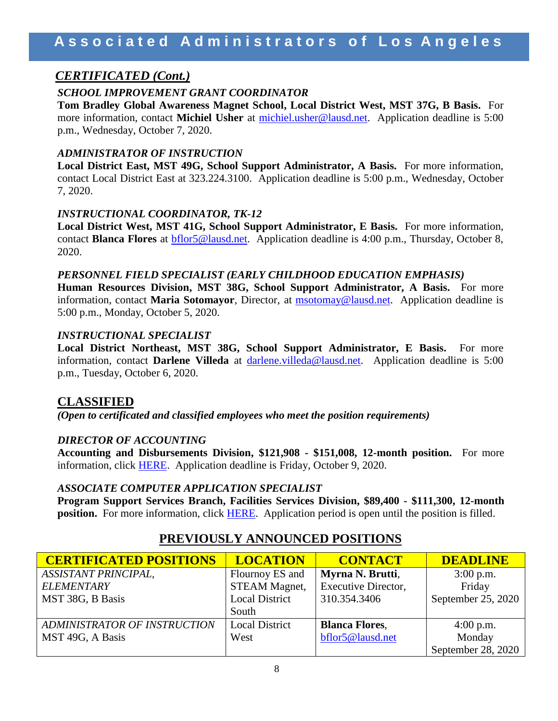### *CERTIFICATED (Cont.)*

#### *SCHOOL IMPROVEMENT GRANT COORDINATOR*

**Tom Bradley Global Awareness Magnet School, Local District West, MST 37G, B Basis.** For more information, contact **Michiel Usher** at [michiel.usher@lausd.net.](mailto:michiel.usher@lausd.net) Application deadline is 5:00 p.m., Wednesday, October 7, 2020.

#### *ADMINISTRATOR OF INSTRUCTION*

**Local District East, MST 49G, School Support Administrator, A Basis.** For more information, contact Local District East at 323.224.3100. Application deadline is 5:00 p.m., Wednesday, October 7, 2020.

#### *INSTRUCTIONAL COORDINATOR, TK-12*

**Local District West, MST 41G, School Support Administrator, E Basis.** For more information, contact **Blanca Flores** at [bflor5@lausd.net.](mailto:bflor5@lausd.net) Application deadline is 4:00 p.m., Thursday, October 8, 2020.

#### *PERSONNEL FIELD SPECIALIST (EARLY CHILDHOOD EDUCATION EMPHASIS)*

**Human Resources Division, MST 38G, School Support Administrator, A Basis.** For more information, contact **Maria Sotomayor**, Director, at [msotomay@lausd.net.](mailto:msotomay@lausd.net) Application deadline is 5:00 p.m., Monday, October 5, 2020.

#### *INSTRUCTIONAL SPECIALIST*

**Local District Northeast, MST 38G, School Support Administrator, E Basis.** For more information, contact **Darlene Villeda** at [darlene.villeda@lausd.net.](mailto:darlene.villeda@lausd.net) Application deadline is 5:00 p.m., Tuesday, October 6, 2020.

### **CLASSIFIED**

*(Open to certificated and classified employees who meet the position requirements)*

#### *DIRECTOR OF ACCOUNTING*

**Accounting and Disbursements Division, \$121,908 - \$151,008, 12-month position.** For more information, click [HERE.](https://btserec.lausd.net/sap/bc/webdynpro/sap/zerwd_a_refcode_srch_int?sap-client=910) Application deadline is Friday, October 9, 2020.

#### *ASSOCIATE COMPUTER APPLICATION SPECIALIST*

**Program Support Services Branch, Facilities Services Division, \$89,400 - \$111,300, 12-month position.** For more information, click [HERE.](https://btserec.lausd.net/sap/bc/webdynpro/sap/zerwd_a_refcode_srch_int?sap-client=910) Application period is open until the position is filled.

| <b>CERTIFICATED POSITIONS</b> | <b>LOCATION</b>       | <b>CONTACT</b>             | <b>DEADLINE</b>    |
|-------------------------------|-----------------------|----------------------------|--------------------|
| <b>ASSISTANT PRINCIPAL,</b>   | Flournoy ES and       | Myrna N. Brutti,           | $3:00$ p.m.        |
| <b>ELEMENTARY</b>             | <b>STEAM Magnet,</b>  | <b>Executive Director,</b> | Friday             |
| MST 38G, B Basis              | <b>Local District</b> | 310.354.3406               | September 25, 2020 |
|                               | South                 |                            |                    |
| ADMINISTRATOR OF INSTRUCTION  | <b>Local District</b> | <b>Blanca Flores,</b>      | $4:00$ p.m.        |
| MST 49G, A Basis              | West                  | bflor5@lausd.net           | Monday             |
|                               |                       |                            | September 28, 2020 |

### **PREVIOUSLY ANNOUNCED POSITIONS**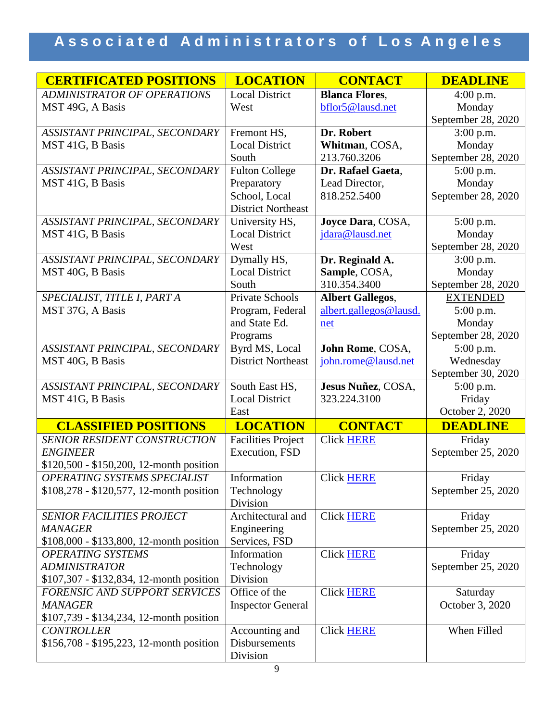| <b>CERTIFICATED POSITIONS</b>                      | <b>LOCATION</b>           | <b>CONTACT</b>          | <b>DEADLINE</b>           |
|----------------------------------------------------|---------------------------|-------------------------|---------------------------|
| <b>ADMINISTRATOR OF OPERATIONS</b>                 | <b>Local District</b>     | <b>Blanca Flores,</b>   | $4:00$ p.m.               |
| MST 49G, A Basis                                   | West                      | bflor5@lausd.net        | Monday                    |
|                                                    |                           |                         | September 28, 2020        |
| ASSISTANT PRINCIPAL, SECONDARY                     | Fremont HS,               | Dr. Robert              | $3:00$ p.m.               |
| MST 41G, B Basis                                   | <b>Local District</b>     | Whitman, COSA,          | Monday                    |
|                                                    | South                     | 213.760.3206            | September 28, 2020        |
| ASSISTANT PRINCIPAL, SECONDARY                     | <b>Fulton College</b>     | Dr. Rafael Gaeta,       | 5:00 p.m.                 |
| MST 41G, B Basis                                   | Preparatory               | Lead Director,          | Monday                    |
|                                                    | School, Local             | 818.252.5400            | September 28, 2020        |
|                                                    | <b>District Northeast</b> |                         |                           |
| ASSISTANT PRINCIPAL, SECONDARY                     | University HS,            | Joyce Dara, COSA,       | 5:00 p.m.                 |
| MST 41G, B Basis                                   | <b>Local District</b>     | jdara@lausd.net         | Monday                    |
|                                                    | West                      |                         | September 28, 2020        |
| ASSISTANT PRINCIPAL, SECONDARY                     | Dymally HS,               | Dr. Reginald A.         | 3:00 p.m.                 |
| MST 40G, B Basis                                   | <b>Local District</b>     | Sample, COSA,           | Monday                    |
|                                                    | South                     | 310.354.3400            | September 28, 2020        |
| SPECIALIST, TITLE I, PART A                        | <b>Private Schools</b>    | <b>Albert Gallegos,</b> | <b>EXTENDED</b>           |
| MST 37G, A Basis                                   | Program, Federal          | albert.gallegos@lausd.  | $5:00$ p.m.               |
|                                                    | and State Ed.             | net                     | Monday                    |
|                                                    | Programs                  |                         | September 28, 2020        |
| ASSISTANT PRINCIPAL, SECONDARY                     | Byrd MS, Local            | John Rome, COSA,        | 5:00 p.m.                 |
| MST 40G, B Basis                                   | <b>District Northeast</b> | john.rome@lausd.net     | Wednesday                 |
|                                                    | South East HS,            | Jesus Nuñez, COSA,      | September 30, 2020        |
| ASSISTANT PRINCIPAL, SECONDARY<br>MST 41G, B Basis | <b>Local District</b>     | 323.224.3100            | 5:00 p.m.                 |
|                                                    | East                      |                         | Friday<br>October 2, 2020 |
| <b>CLASSIFIED POSITIONS</b>                        | <b>LOCATION</b>           | <b>CONTACT</b>          | <b>DEADLINE</b>           |
| SENIOR RESIDENT CONSTRUCTION                       | <b>Facilities Project</b> | Click HERE              | Friday                    |
| <b>ENGINEER</b>                                    | Execution, FSD            |                         | September 25, 2020        |
| \$120,500 - \$150,200, 12-month position           |                           |                         |                           |
| OPERATING SYSTEMS SPECIALIST                       | Information               | Click HERE              | Friday                    |
| \$108,278 - \$120,577, 12-month position           | Technology                |                         | September 25, 2020        |
|                                                    | Division                  |                         |                           |
| <b>SENIOR FACILITIES PROJECT</b>                   | Architectural and         | <b>Click HERE</b>       | Friday                    |
| <b>MANAGER</b>                                     | Engineering               |                         | September 25, 2020        |
| \$108,000 - \$133,800, 12-month position           | Services, FSD             |                         |                           |
| <b>OPERATING SYSTEMS</b>                           | Information               | <b>Click HERE</b>       | Friday                    |
| <b>ADMINISTRATOR</b>                               | Technology                |                         | September 25, 2020        |
| \$107,307 - \$132,834, 12-month position           | Division                  |                         |                           |
| FORENSIC AND SUPPORT SERVICES                      | Office of the             | <b>Click HERE</b>       | Saturday                  |
| <b>MANAGER</b>                                     | <b>Inspector General</b>  |                         | October 3, 2020           |
| $$107,739 - $134,234, 12$ -month position          |                           |                         |                           |
| <b>CONTROLLER</b>                                  | Accounting and            | <b>Click HERE</b>       | When Filled               |
| \$156,708 - \$195,223, 12-month position           | Disbursements             |                         |                           |
|                                                    | Division                  |                         |                           |